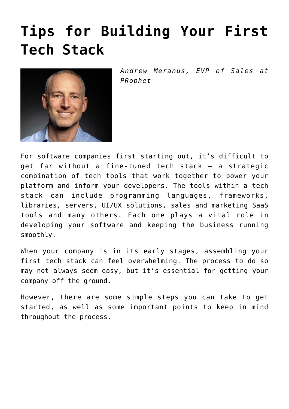## **[Tips for Building Your First](https://www.commpro.biz/tips-for-building-your-first-tech-stack/) [Tech Stack](https://www.commpro.biz/tips-for-building-your-first-tech-stack/)**



*[Andrew Meranus](https://www.linkedin.com/in/andrewstevenmeranus/), EVP of Sales at [PRophet](https://www.prprophet.ai/)*

For software companies first starting out, it's difficult to get far without a fine-tuned tech stack — a strategic combination of tech tools that work together to power your platform and inform your developers. The tools within a tech stack can include programming languages, frameworks, libraries, servers, UI/UX solutions, sales and marketing SaaS tools and many others. Each one plays a vital role in developing your software and keeping the business running smoothly.

When your company is in its early stages, assembling your first tech stack can feel overwhelming. The process to do so may not always seem easy, but it's essential for getting your company off the ground.

However, there are some simple steps you can take to get started, as well as some important points to keep in mind throughout the process.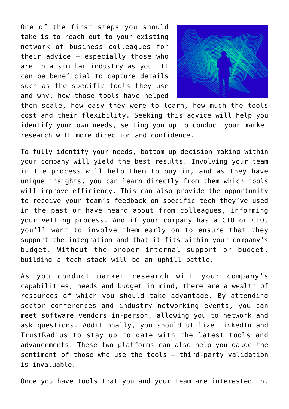One of the first steps you should take is to reach out to your existing network of business colleagues for their advice — especially those who are in a similar industry as you. It can be beneficial to capture details such as the specific tools they use and why, how those tools have helped



them scale, how easy they were to learn, how much the tools cost and their flexibility. Seeking this advice will help you identify your own needs, setting you up to conduct your market research with more direction and confidence.

To fully identify your needs, bottom-up decision making within your company will yield the best results. Involving your team in the process will help them to buy in, and as they have unique insights, you can learn directly from them which tools will improve efficiency. This can also provide the opportunity to receive your team's feedback on specific tech they've used in the past or have heard about from colleagues, informing your vetting process. And if your company has a CIO or CTO, you'll want to involve them early on to ensure that they support the integration and that it fits within your company's budget. Without the proper internal support or budget, building a tech stack will be an uphill battle.

As you conduct market research with your company's capabilities, needs and budget in mind, there are a wealth of resources of which you should take advantage. By attending sector conferences and industry networking events, you can meet software vendors in-person, allowing you to network and ask questions. Additionally, you should utilize LinkedIn and TrustRadius to stay up to date with the latest tools and advancements. These two platforms can also help you gauge the sentiment of those who use the tools — third-party validation is invaluable.

Once you have tools that you and your team are interested in,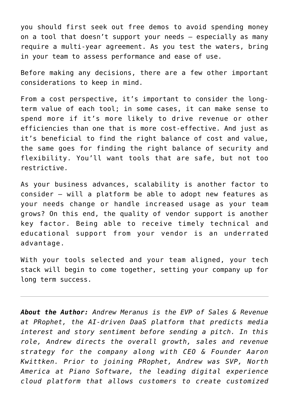you should first seek out free demos to avoid spending money on a tool that doesn't support your needs — especially as many require a multi-year agreement. As you test the waters, bring in your team to assess performance and ease of use.

Before making any decisions, there are a few other important considerations to keep in mind.

From a cost perspective, it's important to consider the longterm value of each tool; in some cases, it can make sense to spend more if it's more likely to drive revenue or other efficiencies than one that is more cost-effective. And just as it's beneficial to find the right balance of cost and value, the same goes for finding the right balance of security and flexibility. You'll want tools that are safe, but not too restrictive.

As your business advances, scalability is another factor to consider — will a platform be able to adopt new features as your needs change or handle increased usage as your team grows? On this end, the quality of vendor support is another key factor. Being able to receive timely technical and educational support from your vendor is an underrated advantage.

With your tools selected and your team aligned, your tech stack will begin to come together, setting your company up for long term [success.](https://www.commpro.biz/comms-tech/)

*About the Author: Andrew Meranus is the EVP of Sales & Revenue at PRophet, the AI-driven DaaS platform that predicts media interest and story sentiment before sending a pitch. In this role, Andrew directs the overall growth, sales and revenue strategy for the company along with CEO & Founder Aaron Kwittken. Prior to joining PRophet, Andrew was SVP, North America at Piano Software, the leading digital experience cloud platform that allows customers to create customized*